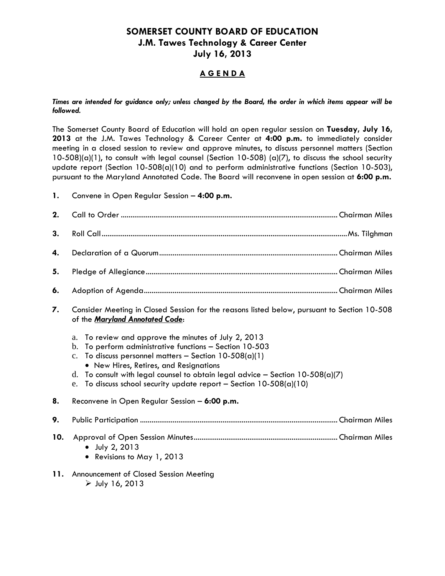## **SOMERSET COUNTY BOARD OF EDUCATION J.M. Tawes Technology & Career Center July 16, 2013**

## **A G E N D A**

*Times are intended for guidance only; unless changed by the Board, the order in which items appear will be followed.*

The Somerset County Board of Education will hold an open regular session on **Tuesday, July 16, 2013** at the J.M. Tawes Technology & Career Center at **4:00 p.m.** to immediately consider meeting in a closed session to review and approve minutes, to discuss personnel matters (Section 10-508)(a)(1), to consult with legal counsel (Section 10-508) (a)(7), to discuss the school security update report (Section 10-508(a)(10) and to perform administrative functions (Section 10-503), pursuant to the Maryland Annotated Code. The Board will reconvene in open session at **6:00 p.m.**

**1.** Convene in Open Regular Session – **4:00 p.m.**

| 2.  |                                                                                                                                                                                                                                                                                                                                                                                                               |  |  |
|-----|---------------------------------------------------------------------------------------------------------------------------------------------------------------------------------------------------------------------------------------------------------------------------------------------------------------------------------------------------------------------------------------------------------------|--|--|
| 3.  |                                                                                                                                                                                                                                                                                                                                                                                                               |  |  |
| 4.  |                                                                                                                                                                                                                                                                                                                                                                                                               |  |  |
| 5.  |                                                                                                                                                                                                                                                                                                                                                                                                               |  |  |
| 6.  |                                                                                                                                                                                                                                                                                                                                                                                                               |  |  |
| 7.  | Consider Meeting in Closed Session for the reasons listed below, pursuant to Section 10-508<br>of the Maryland Annotated Code:                                                                                                                                                                                                                                                                                |  |  |
|     | To review and approve the minutes of July 2, 2013<br>a.<br>To perform administrative functions - Section 10-503<br>b.<br>To discuss personnel matters - Section $10-508(a)(1)$<br>$\mathbf{c}$ .<br>• New Hires, Retires, and Resignations<br>To consult with legal counsel to obtain legal advice - Section $10-508(a)(7)$<br>d.<br>To discuss school security update report - Section $10-508(a)(10)$<br>e. |  |  |
| 8.  | Reconvene in Open Regular Session - 6:00 p.m.                                                                                                                                                                                                                                                                                                                                                                 |  |  |
| 9.  |                                                                                                                                                                                                                                                                                                                                                                                                               |  |  |
| 10. | July 2, 2013<br>$\bullet$<br>• Revisions to May 1, 2013                                                                                                                                                                                                                                                                                                                                                       |  |  |
| 11. | Announcement of Closed Session Meeting<br>$\triangleright$ July 16, 2013                                                                                                                                                                                                                                                                                                                                      |  |  |